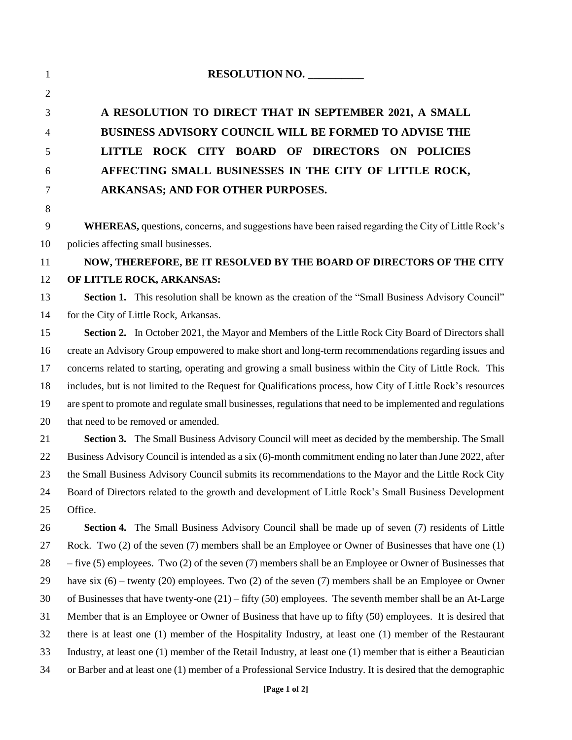| $\mathbf{1}$   | RESOLUTION NO.                                                                                                |
|----------------|---------------------------------------------------------------------------------------------------------------|
| $\overline{2}$ |                                                                                                               |
| 3              | A RESOLUTION TO DIRECT THAT IN SEPTEMBER 2021, A SMALL                                                        |
| 4              | <b>BUSINESS ADVISORY COUNCIL WILL BE FORMED TO ADVISE THE</b>                                                 |
| 5              | LITTLE ROCK CITY BOARD OF DIRECTORS ON POLICIES                                                               |
| 6              | AFFECTING SMALL BUSINESSES IN THE CITY OF LITTLE ROCK,                                                        |
| $\tau$         | ARKANSAS; AND FOR OTHER PURPOSES.                                                                             |
| 8              |                                                                                                               |
| 9              | WHEREAS, questions, concerns, and suggestions have been raised regarding the City of Little Rock's            |
| 10             | policies affecting small businesses.                                                                          |
| 11             | NOW, THEREFORE, BE IT RESOLVED BY THE BOARD OF DIRECTORS OF THE CITY                                          |
| 12             | OF LITTLE ROCK, ARKANSAS:                                                                                     |
| 13             | Section 1. This resolution shall be known as the creation of the "Small Business Advisory Council"            |
| 14             | for the City of Little Rock, Arkansas.                                                                        |
| 15             | Section 2. In October 2021, the Mayor and Members of the Little Rock City Board of Directors shall            |
| 16             | create an Advisory Group empowered to make short and long-term recommendations regarding issues and           |
| 17             | concerns related to starting, operating and growing a small business within the City of Little Rock. This     |
| 18             | includes, but is not limited to the Request for Qualifications process, how City of Little Rock's resources   |
| 19             | are spent to promote and regulate small businesses, regulations that need to be implemented and regulations   |
| 20             | that need to be removed or amended.                                                                           |
| 21             | Section 3. The Small Business Advisory Council will meet as decided by the membership. The Small              |
| 22             | Business Advisory Council is intended as a six (6)-month commitment ending no later than June 2022, after     |
| 23             | the Small Business Advisory Council submits its recommendations to the Mayor and the Little Rock City         |
| 24             | Board of Directors related to the growth and development of Little Rock's Small Business Development          |
| 25             | Office.                                                                                                       |
| 26             | Section 4. The Small Business Advisory Council shall be made up of seven (7) residents of Little              |
| 27             | Rock. Two (2) of the seven (7) members shall be an Employee or Owner of Businesses that have one (1)          |
| 28             | $-$ five (5) employees. Two (2) of the seven (7) members shall be an Employee or Owner of Businesses that     |
| 29             | have six $(6)$ – twenty $(20)$ employees. Two $(2)$ of the seven $(7)$ members shall be an Employee or Owner  |
| 30             | of Businesses that have twenty-one $(21)$ – fifty (50) employees. The seventh member shall be an At-Large     |
| 31             | Member that is an Employee or Owner of Business that have up to fifty (50) employees. It is desired that      |
| 32             | there is at least one (1) member of the Hospitality Industry, at least one (1) member of the Restaurant       |
| 33             | Industry, at least one (1) member of the Retail Industry, at least one (1) member that is either a Beautician |
| 34             | or Barber and at least one (1) member of a Professional Service Industry. It is desired that the demographic  |